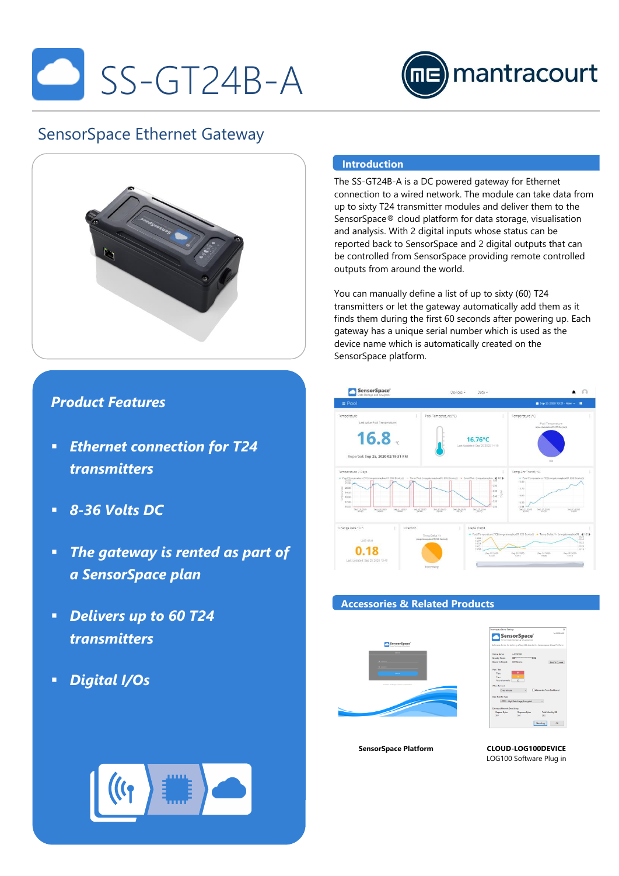



# SensorSpace Ethernet Gateway



## *Product Features*

- *Ethernet connection for T24 transmitters*
- *8-36 Volts DC*
- *The gateway is rented as part of a SensorSpace plan*
- *Delivers up to 60 T24 transmitters*
- *Digital I/Os*

### **Introduction**

The SS-GT24B-A is a DC powered gateway for Ethernet connection to a wired network. The module can take data from up to sixty T24 transmitter modules and deliver them to the SensorSpace® cloud platform for data storage, visualisation and analysis. With 2 digital inputs whose status can be reported back to SensorSpace and 2 digital outputs that can be controlled from SensorSpace providing remote controlled outputs from around the world.

You can manually define a list of up to sixty (60) T24 transmitters or let the gateway automatically add them as it finds them during the first 60 seconds after powering up. Each gateway has a unique serial number which is used as the device name which is automatically created on the SensorSpace platform.



#### **Accessories & Related Products**





**SensorSpace Platform CLOUD-LOG100DEVICE** LOG100 Software Plug in